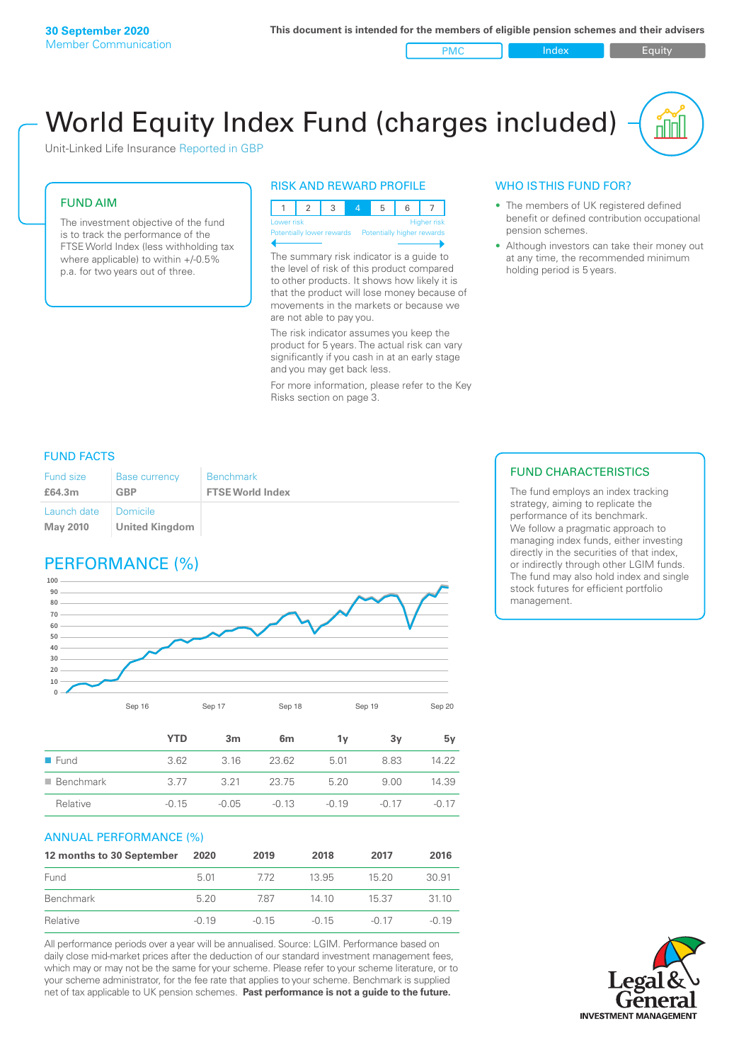PMC Index Index Equity

# World Equity Index Fund (charges included)

Unit-Linked Life Insurance Reported in GBP

#### FUND AIM

The investment objective of the fund is to track the performance of the FTSE World Index (less withholding tax where applicable) to within +/-0.5% p.a. for two years out of three.

#### RISK AND REWARD PROFILE



The summary risk indicator is a guide to the level of risk of this product compared to other products. It shows how likely it is that the product will lose money because of movements in the markets or because we are not able to pay you.

The risk indicator assumes you keep the product for 5 years. The actual risk can vary significantly if you cash in at an early stage and you may get back less.

For more information, please refer to the Key Risks section on page 3.

### WHO IS THIS FUND FOR?

- The members of UK registered defined benefit or defined contribution occupational pension schemes.
- Although investors can take their money out at any time, the recommended minimum holding period is 5 years.

#### FUND FACTS

| Fund size<br>£64.3m | <b>Base currency</b><br>GBP | <b>Benchmark</b><br><b>FTSE World Index</b> |
|---------------------|-----------------------------|---------------------------------------------|
| Launch date         | I Domicile                  |                                             |
| <b>May 2010</b>     | <b>United Kingdom</b>       |                                             |

### PERFORMANCE (%)



|                          | <b>YTD</b> | 3m      | 6 <sub>m</sub> | 1۷      | 3v    | 5v      |
|--------------------------|------------|---------|----------------|---------|-------|---------|
| $\blacksquare$ Fund      | 3.62       | 3.16    | 23.62          | 5.01    | 8.83  | 14.22   |
| $\blacksquare$ Benchmark | 3.77       | 3.21    | 23.75          | 5.20    | 9.00  | 14.39   |
| Relative                 | $-0.15$    | $-0.05$ | $-0.13$        | $-0.19$ | -0.17 | $-0.17$ |

#### ANNUAL PERFORMANCE (%)

| 12 months to 30 September | 2020    | 2019    | 2018    | 2017    | 2016    |
|---------------------------|---------|---------|---------|---------|---------|
| Fund                      | 5.01    | 772     | 13.95   | 1520    | 30.91   |
| Benchmark                 | 520     | 787     | 14 10   | 15.37   | 3110    |
| Relative                  | $-0.19$ | $-0.15$ | $-0.15$ | $-0.17$ | $-0.19$ |

All performance periods over a year will be annualised. Source: LGIM. Performance based on daily close mid-market prices after the deduction of our standard investment management fees, which may or may not be the same for your scheme. Please refer to your scheme literature, or to your scheme administrator, for the fee rate that applies to your scheme. Benchmark is supplied net of tax applicable to UK pension schemes. **Past performance is not a guide to the future.**

#### FUND CHARACTERISTICS

The fund employs an index tracking strategy, aiming to replicate the performance of its benchmark. We follow a pragmatic approach to managing index funds, either investing directly in the securities of that index, or indirectly through other LGIM funds. The fund may also hold index and single stock futures for efficient portfolio management.

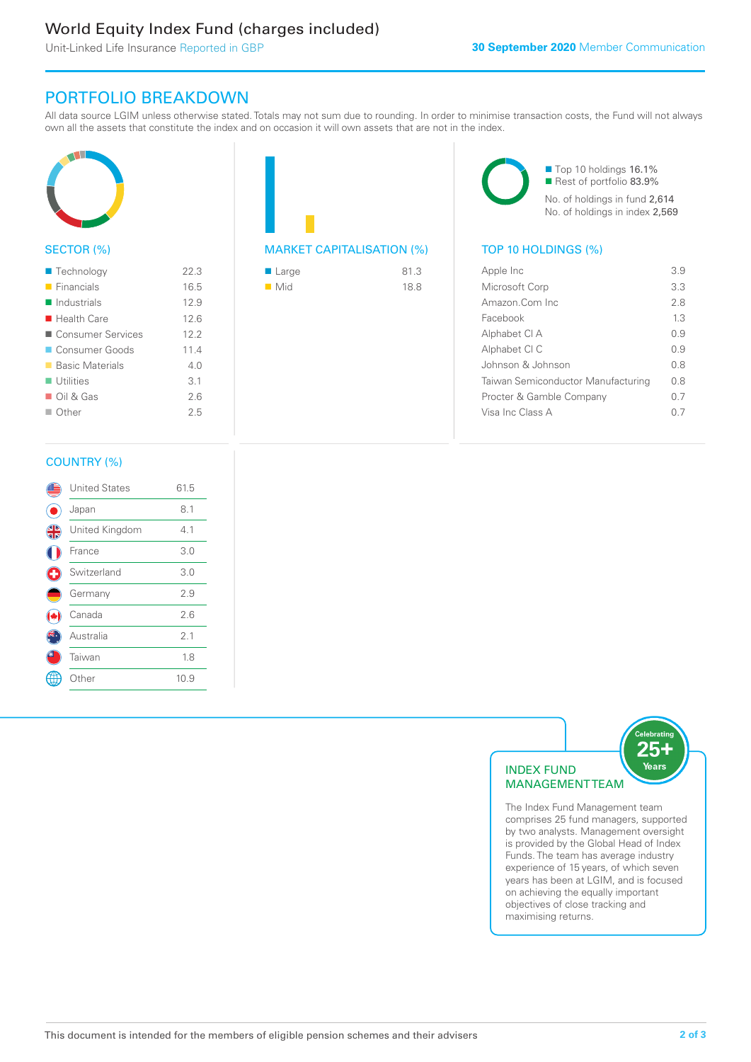### World Equity Index Fund (charges included)

Unit-Linked Life Insurance Reported in GBP

### PORTFOLIO BREAKDOWN

All data source LGIM unless otherwise stated. Totals may not sum due to rounding. In order to minimise transaction costs, the Fund will not always own all the assets that constitute the index and on occasion it will own assets that are not in the index.



#### SECTOR (%)

| ■ Technology               | 22.3 |
|----------------------------|------|
| $\blacksquare$ Financials  | 16.5 |
| $\blacksquare$ Industrials | 12.9 |
| $\blacksquare$ Health Care | 12.6 |
| ■ Consumer Services        | 12.2 |
| Consumer Goods             | 11.4 |
| ■ Basic Materials          | 4 N  |
| $\blacksquare$ Utilities   | 3.1  |
| $\Box$ Oil & Gas           | 2.6  |
| $\Box$ Other               | 25   |
|                            |      |



| ■ Large            | 81.3 |
|--------------------|------|
| $\blacksquare$ Mid | 18.8 |

■ Top 10 holdings 16.1% Rest of portfolio 83.9% No. of holdings in fund 2,614 No. of holdings in index 2,569

| Apple Inc                          | 39   |
|------------------------------------|------|
| Microsoft Corp                     | 33   |
| Amazon.Com Inc                     | 28   |
| Facebook                           | 13   |
| Alphabet CI A                      | O 9  |
| Alphabet CI C                      | O 9  |
| Johnson & Johnson                  | 0 S  |
| Taiwan Semiconductor Manufacturing | 0 S  |
| Procter & Gamble Company           | 0.7  |
| Visa Inc Class A                   | () / |
|                                    |      |

#### COUNTRY (%)

|   | <b>United States</b> | 61.5 |  |
|---|----------------------|------|--|
|   | Japan                | 8.1  |  |
| 4 | United Kingdom       | 4.1  |  |
|   | France               | 3.0  |  |
|   | Switzerland          | 3.0  |  |
|   | Germany              | 2.9  |  |
|   | Canada               | 2.6  |  |
|   | Australia            | 2.1  |  |
|   | Taiwan               | 1.8  |  |
|   | Other                | 10.9 |  |
|   |                      |      |  |



comprises 25 fund managers, supported by two analysts. Management oversight is provided by the Global Head of Index Funds. The team has average industry experience of 15 years, of which seven years has been at LGIM, and is focused on achieving the equally important objectives of close tracking and maximising returns.